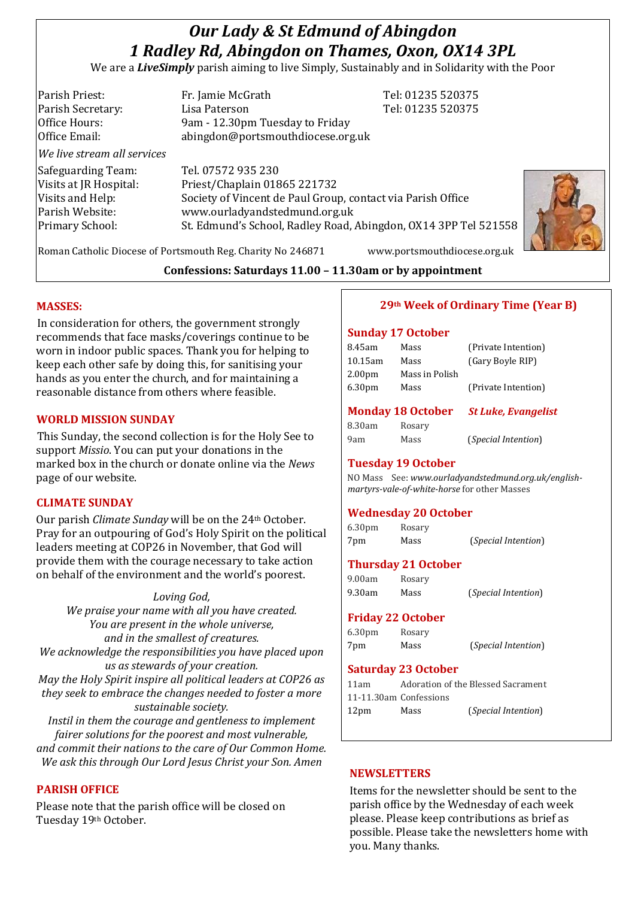# *Our Lady & St Edmund of Abingdon 1 Radley Rd, Abingdon on Thames, Oxon, OX14 3PL*

We are a *LiveSimply* parish aiming to live Simply, Sustainably and in Solidarity with the Poor

| Parish Priest:              | Fr. Jamie McGrath                                               | Tel: 01235 520375 |
|-----------------------------|-----------------------------------------------------------------|-------------------|
| Parish Secretary:           | Lisa Paterson                                                   | Tel: 01235 520375 |
| Office Hours:               | 9am - 12.30pm Tuesday to Friday                                 |                   |
| Office Email:               | abingdon@portsmouthdiocese.org.uk                               |                   |
| We live stream all services |                                                                 |                   |
| Safeguarding Team:          | Tel. 07572 935 230                                              |                   |
| Visits at JR Hospital:      | Priest/Chaplain 01865 221732                                    |                   |
| Visits and Help:            | Society of Vincent de Paul Group, contact via Parish Office     |                   |
| Parish Website:             | www.ourladyandstedmund.org.uk                                   |                   |
| Primary School:             | St. Edmund's School, Radley Road, Abingdon, OX14 3PP Tel 521558 |                   |
|                             |                                                                 |                   |
|                             |                                                                 |                   |



Roman Catholic Diocese of Portsmouth Reg. Charity No 246871 www.portsmouthdiocese.org.uk

**Confessions: Saturdays 11.00 – 11.30am or by appointment**

#### **MASSES:**

In consideration for others, the government strongly recommends that face masks/coverings continue to be worn in indoor public spaces. Thank you for helping to keep each other safe by doing this, for sanitising your hands as you enter the church, and for maintaining a reasonable distance from others where feasible.

## **WORLD MISSION SUNDAY**

This Sunday, the second collection is for the Holy See to support *Missio*. You can put your donations in the marked box in the church or donate online via the *News* page of our website.

# **CLIMATE SUNDAY**

Our parish *Climate Sunday* will be on the 24th October. Pray for an outpouring of God's Holy Spirit on the political leaders meeting at COP26 in November, that God will provide them with the courage necessary to take action on behalf of the environment and the world's poorest.

#### *Loving God,*

*We praise your name with all you have created. You are present in the whole universe, and in the smallest of creatures. We acknowledge the responsibilities you have placed upon us as stewards of your creation. May the Holy Spirit inspire all political leaders at COP26 as they seek to embrace the changes needed to foster a more sustainable society. Instil in them the courage and gentleness to implement* 

*fairer solutions for the poorest and most vulnerable, and commit their nations to the care of Our Common Home. We ask this through Our Lord Jesus Christ your Son. Amen*

# **PARISH OFFICE**

Please note that the parish office will be closed on Tuesday 19th October.

# **29th Week of Ordinary Time (Year B)**

## **Sunday 17 October**

| 8.45am                   | Mass                                       | (Private Intention)        |
|--------------------------|--------------------------------------------|----------------------------|
| 10.15am                  | Mass                                       | (Gary Boyle RIP)           |
| 2.00 <sub>pm</sub>       | Mass in Polish                             |                            |
| 6.30pm                   | Mass                                       | (Private Intention)        |
| <b>Monday 18 October</b> |                                            | <b>St Luke, Evangelist</b> |
| 0.20cm                   | $D_{\alpha\alpha\gamma\gamma\gamma\gamma}$ |                            |

| 8.30am | Rosary |                              |
|--------|--------|------------------------------|
| 9am    | Mass   | ( <i>Special Intention</i> ) |

# **Tuesday 19 October**

NO Mass See: *www.ourladyandstedmund.org.uk/englishmartyrs-vale-of-white-horse* for other Masses

# **Wednesday 20 October**

6.30pm Rosary 7pm Mass (*Special Intention*)

#### **Thursday 21 October**

| 9.00am | Rosary |                              |
|--------|--------|------------------------------|
| 9.30am | Mass   | ( <i>Special Intention</i> ) |

# **Friday 22 October**

6.30pm Rosary 7pm Mass (*Special Intention*)

# **Saturday 23 October**

11am Adoration of the Blessed Sacrament 11-11.30am Confessions 12pm Mass (*Special Intention*)

#### **NEWSLETTERS**

Items for the newsletter should be sent to the parish office by the Wednesday of each week please. Please keep contributions as brief as possible. Please take the newsletters home with you. Many thanks.